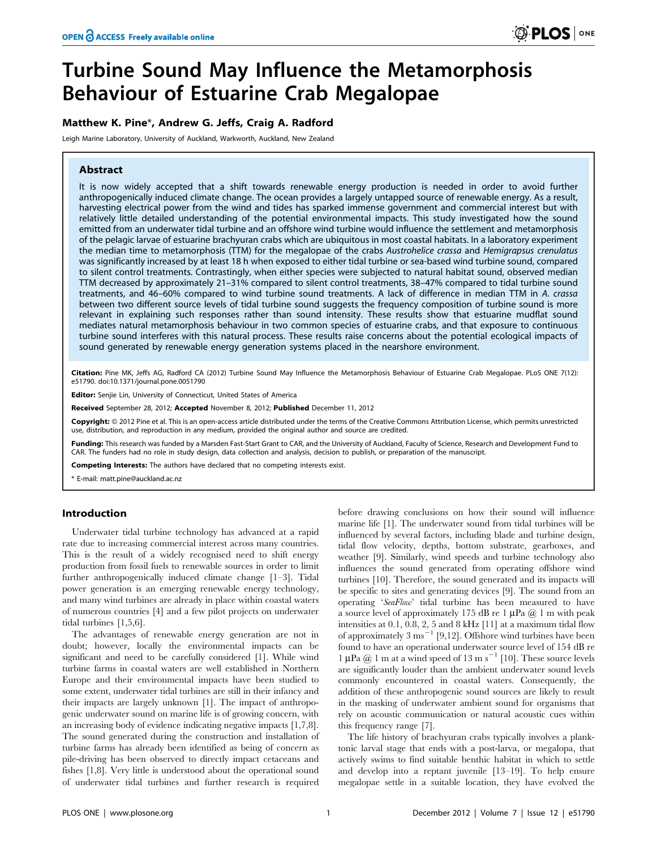# Turbine Sound May Influence the Metamorphosis Behaviour of Estuarine Crab Megalopae

# Matthew K. Pine\*, Andrew G. Jeffs, Craig A. Radford

Leigh Marine Laboratory, University of Auckland, Warkworth, Auckland, New Zealand

# Abstract

It is now widely accepted that a shift towards renewable energy production is needed in order to avoid further anthropogenically induced climate change. The ocean provides a largely untapped source of renewable energy. As a result, harvesting electrical power from the wind and tides has sparked immense government and commercial interest but with relatively little detailed understanding of the potential environmental impacts. This study investigated how the sound emitted from an underwater tidal turbine and an offshore wind turbine would influence the settlement and metamorphosis of the pelagic larvae of estuarine brachyuran crabs which are ubiquitous in most coastal habitats. In a laboratory experiment the median time to metamorphosis (TTM) for the megalopae of the crabs Austrohelice crassa and Hemigrapsus crenulatus was significantly increased by at least 18 h when exposed to either tidal turbine or sea-based wind turbine sound, compared to silent control treatments. Contrastingly, when either species were subjected to natural habitat sound, observed median TTM decreased by approximately 21–31% compared to silent control treatments, 38–47% compared to tidal turbine sound treatments, and 46-60% compared to wind turbine sound treatments. A lack of difference in median TTM in A. crassa between two different source levels of tidal turbine sound suggests the frequency composition of turbine sound is more relevant in explaining such responses rather than sound intensity. These results show that estuarine mudflat sound mediates natural metamorphosis behaviour in two common species of estuarine crabs, and that exposure to continuous turbine sound interferes with this natural process. These results raise concerns about the potential ecological impacts of sound generated by renewable energy generation systems placed in the nearshore environment.

Citation: Pine MK, Jeffs AG, Radford CA (2012) Turbine Sound May Influence the Metamorphosis Behaviour of Estuarine Crab Megalopae. PLoS ONE 7(12): e51790. doi:10.1371/journal.pone.0051790

Editor: Senjie Lin, University of Connecticut, United States of America

Received September 28, 2012; Accepted November 8, 2012; Published December 11, 2012

Copyright: © 2012 Pine et al. This is an open-access article distributed under the terms of the Creative Commons Attribution License, which permits unrestricted use, distribution, and reproduction in any medium, provided the original author and source are credited.

Funding: This research was funded by a Marsden Fast-Start Grant to CAR, and the University of Auckland, Faculty of Science, Research and Development Fund to CAR. The funders had no role in study design, data collection and analysis, decision to publish, or preparation of the manuscript.

Competing Interests: The authors have declared that no competing interests exist.

\* E-mail: matt.pine@auckland.ac.nz

## Introduction

Underwater tidal turbine technology has advanced at a rapid rate due to increasing commercial interest across many countries. This is the result of a widely recognised need to shift energy production from fossil fuels to renewable sources in order to limit further anthropogenically induced climate change [1–3]. Tidal power generation is an emerging renewable energy technology, and many wind turbines are already in place within coastal waters of numerous countries [4] and a few pilot projects on underwater tidal turbines [1,5,6].

The advantages of renewable energy generation are not in doubt; however, locally the environmental impacts can be significant and need to be carefully considered [1]. While wind turbine farms in coastal waters are well established in Northern Europe and their environmental impacts have been studied to some extent, underwater tidal turbines are still in their infancy and their impacts are largely unknown [1]. The impact of anthropogenic underwater sound on marine life is of growing concern, with an increasing body of evidence indicating negative impacts [1,7,8]. The sound generated during the construction and installation of turbine farms has already been identified as being of concern as pile-driving has been observed to directly impact cetaceans and fishes [1,8]. Very little is understood about the operational sound of underwater tidal turbines and further research is required

before drawing conclusions on how their sound will influence marine life [1]. The underwater sound from tidal turbines will be influenced by several factors, including blade and turbine design, tidal flow velocity, depths, bottom substrate, gearboxes, and weather [9]. Similarly, wind speeds and turbine technology also influences the sound generated from operating offshore wind turbines [10]. Therefore, the sound generated and its impacts will be specific to sites and generating devices [9]. The sound from an operating 'SeaFlow' tidal turbine has been measured to have a source level of approximately 175 dB re 1  $\mu$ Pa  $\omega$  1 m with peak intensities at 0.1, 0.8, 2, 5 and 8 kHz [11] at a maximum tidal flow of approximately 3 ms<sup> $-1$ </sup> [9,12]. Offshore wind turbines have been found to have an operational underwater source level of 154 dB re 1  $\mu$ Pa @ 1 m at a wind speed of 13 m s<sup>-1</sup> [10]. These source levels are significantly louder than the ambient underwater sound levels commonly encountered in coastal waters. Consequently, the addition of these anthropogenic sound sources are likely to result in the masking of underwater ambient sound for organisms that rely on acoustic communication or natural acoustic cues within this frequency range [7].

The life history of brachyuran crabs typically involves a planktonic larval stage that ends with a post-larva, or megalopa, that actively swims to find suitable benthic habitat in which to settle and develop into a reptant juvenile [13–19]. To help ensure megalopae settle in a suitable location, they have evolved the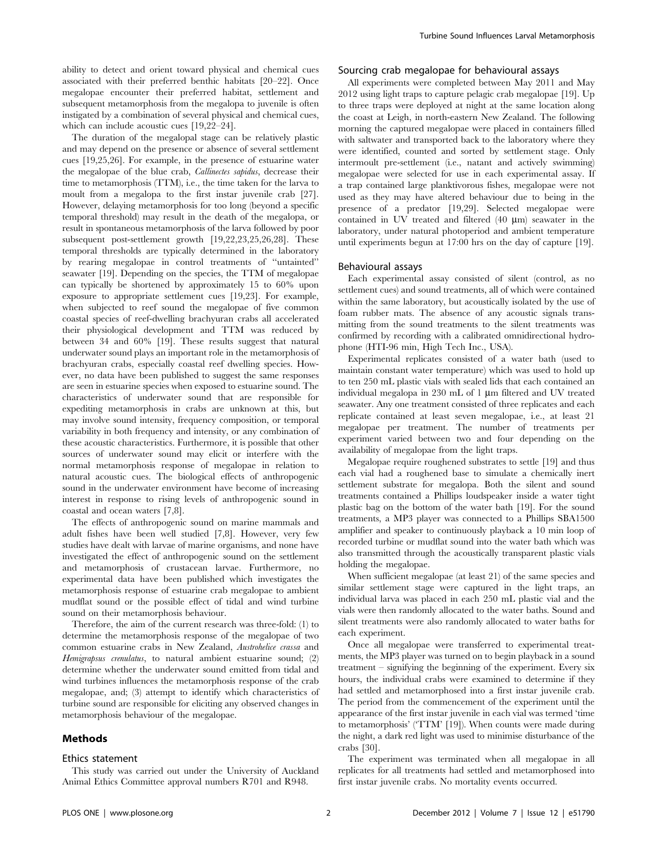ability to detect and orient toward physical and chemical cues associated with their preferred benthic habitats [20–22]. Once megalopae encounter their preferred habitat, settlement and subsequent metamorphosis from the megalopa to juvenile is often instigated by a combination of several physical and chemical cues, which can include acoustic cues [19,22–24].

The duration of the megalopal stage can be relatively plastic and may depend on the presence or absence of several settlement cues [19,25,26]. For example, in the presence of estuarine water the megalopae of the blue crab, Callinectes sapidus, decrease their time to metamorphosis (TTM), i.e., the time taken for the larva to moult from a megalopa to the first instar juvenile crab [27]. However, delaying metamorphosis for too long (beyond a specific temporal threshold) may result in the death of the megalopa, or result in spontaneous metamorphosis of the larva followed by poor subsequent post-settlement growth [19,22,23,25,26,28]. These temporal thresholds are typically determined in the laboratory by rearing megalopae in control treatments of ''untainted'' seawater [19]. Depending on the species, the TTM of megalopae can typically be shortened by approximately 15 to 60% upon exposure to appropriate settlement cues [19,23]. For example, when subjected to reef sound the megalopae of five common coastal species of reef-dwelling brachyuran crabs all accelerated their physiological development and TTM was reduced by between 34 and 60% [19]. These results suggest that natural underwater sound plays an important role in the metamorphosis of brachyuran crabs, especially coastal reef dwelling species. However, no data have been published to suggest the same responses are seen in estuarine species when exposed to estuarine sound. The characteristics of underwater sound that are responsible for expediting metamorphosis in crabs are unknown at this, but may involve sound intensity, frequency composition, or temporal variability in both frequency and intensity, or any combination of these acoustic characteristics. Furthermore, it is possible that other sources of underwater sound may elicit or interfere with the normal metamorphosis response of megalopae in relation to natural acoustic cues. The biological effects of anthropogenic sound in the underwater environment have become of increasing interest in response to rising levels of anthropogenic sound in coastal and ocean waters [7,8].

The effects of anthropogenic sound on marine mammals and adult fishes have been well studied [7,8]. However, very few studies have dealt with larvae of marine organisms, and none have investigated the effect of anthropogenic sound on the settlement and metamorphosis of crustacean larvae. Furthermore, no experimental data have been published which investigates the metamorphosis response of estuarine crab megalopae to ambient mudflat sound or the possible effect of tidal and wind turbine sound on their metamorphosis behaviour.

Therefore, the aim of the current research was three-fold: (1) to determine the metamorphosis response of the megalopae of two common estuarine crabs in New Zealand, Austrohelice crassa and Hemigrapsus crenulatus, to natural ambient estuarine sound; (2) determine whether the underwater sound emitted from tidal and wind turbines influences the metamorphosis response of the crab megalopae, and; (3) attempt to identify which characteristics of turbine sound are responsible for eliciting any observed changes in metamorphosis behaviour of the megalopae.

## Methods

#### Ethics statement

the coast at Leigh, in north-eastern New Zealand. The following morning the captured megalopae were placed in containers filled with saltwater and transported back to the laboratory where they were identified, counted and sorted by settlement stage. Only intermoult pre-settlement (i.e., natant and actively swimming) megalopae were selected for use in each experimental assay. If a trap contained large planktivorous fishes, megalopae were not used as they may have altered behaviour due to being in the presence of a predator [19,29]. Selected megalopae were contained in UV treated and filtered  $(40 \mu m)$  seawater in the laboratory, under natural photoperiod and ambient temperature until experiments begun at 17:00 hrs on the day of capture [19].

All experiments were completed between May 2011 and May 2012 using light traps to capture pelagic crab megalopae [19]. Up to three traps were deployed at night at the same location along

Turbine Sound Influences Larval Metamorphosis

Sourcing crab megalopae for behavioural assays

## Behavioural assays

Each experimental assay consisted of silent (control, as no settlement cues) and sound treatments, all of which were contained within the same laboratory, but acoustically isolated by the use of foam rubber mats. The absence of any acoustic signals transmitting from the sound treatments to the silent treatments was confirmed by recording with a calibrated omnidirectional hydrophone (HTI-96 min, High Tech Inc., USA).

Experimental replicates consisted of a water bath (used to maintain constant water temperature) which was used to hold up to ten 250 mL plastic vials with sealed lids that each contained an individual megalopa in 230 mL of 1 µm filtered and UV treated seawater. Any one treatment consisted of three replicates and each replicate contained at least seven megalopae, i.e., at least 21 megalopae per treatment. The number of treatments per experiment varied between two and four depending on the availability of megalopae from the light traps.

Megalopae require roughened substrates to settle [19] and thus each vial had a roughened base to simulate a chemically inert settlement substrate for megalopa. Both the silent and sound treatments contained a Phillips loudspeaker inside a water tight plastic bag on the bottom of the water bath [19]. For the sound treatments, a MP3 player was connected to a Phillips SBA1500 amplifier and speaker to continuously playback a 10 min loop of recorded turbine or mudflat sound into the water bath which was also transmitted through the acoustically transparent plastic vials holding the megalopae.

When sufficient megalopae (at least 21) of the same species and similar settlement stage were captured in the light traps, an individual larva was placed in each 250 mL plastic vial and the vials were then randomly allocated to the water baths. Sound and silent treatments were also randomly allocated to water baths for each experiment.

Once all megalopae were transferred to experimental treatments, the MP3 player was turned on to begin playback in a sound treatment – signifying the beginning of the experiment. Every six hours, the individual crabs were examined to determine if they had settled and metamorphosed into a first instar juvenile crab. The period from the commencement of the experiment until the appearance of the first instar juvenile in each vial was termed 'time to metamorphosis' ('TTM' [19]). When counts were made during the night, a dark red light was used to minimise disturbance of the crabs [30].

This study was carried out under the University of Auckland Animal Ethics Committee approval numbers R701 and R948.

The experiment was terminated when all megalopae in all replicates for all treatments had settled and metamorphosed into first instar juvenile crabs. No mortality events occurred.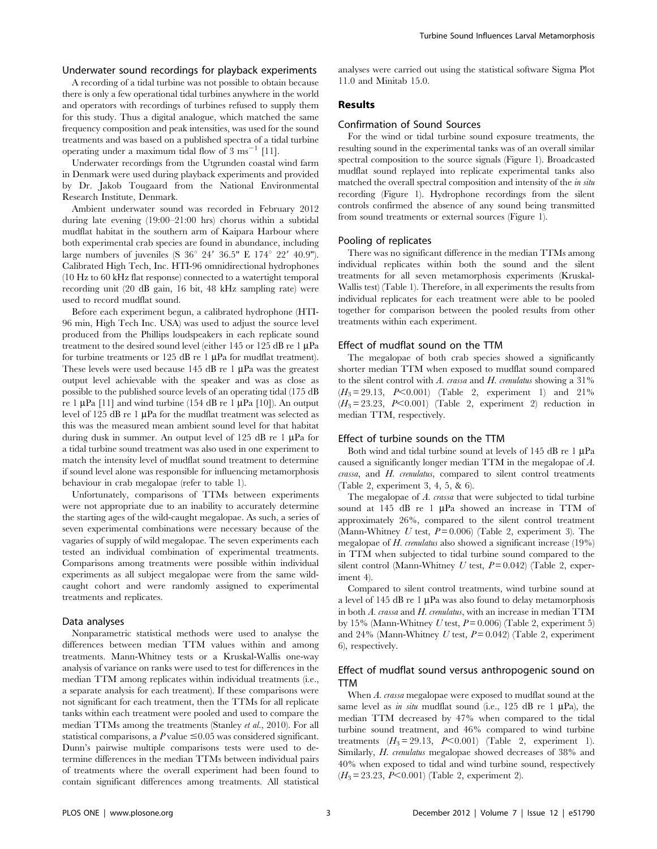# Underwater sound recordings for playback experiments

A recording of a tidal turbine was not possible to obtain because there is only a few operational tidal turbines anywhere in the world and operators with recordings of turbines refused to supply them for this study. Thus a digital analogue, which matched the same frequency composition and peak intensities, was used for the sound treatments and was based on a published spectra of a tidal turbine operating under a maximum tidal flow of  $3 \text{ ms}^{-1}$  [11].

Underwater recordings from the Utgrunden coastal wind farm in Denmark were used during playback experiments and provided by Dr. Jakob Tougaard from the National Environmental Research Institute, Denmark.

Ambient underwater sound was recorded in February 2012 during late evening (19:00–21:00 hrs) chorus within a subtidal mudflat habitat in the southern arm of Kaipara Harbour where both experimental crab species are found in abundance, including large numbers of juveniles (S  $36^\circ$  24'  $36.5$ " E  $174^\circ$  22'  $40.9$ "). Calibrated High Tech, Inc. HTI-96 omnidirectional hydrophones (10 Hz to 60 kHz flat response) connected to a watertight temporal recording unit (20 dB gain, 16 bit, 48 kHz sampling rate) were used to record mudflat sound.

Before each experiment begun, a calibrated hydrophone (HTI-96 min, High Tech Inc. USA) was used to adjust the source level produced from the Phillips loudspeakers in each replicate sound treatment to the desired sound level (either 145 or 125 dB re 1  $\mu$ Pa for turbine treatments or 125 dB re 1  $\mu$ Pa for mudflat treatment). These levels were used because 145 dB re 1  $\mu$ Pa was the greatest output level achievable with the speaker and was as close as possible to the published source levels of an operating tidal (175 dB re 1  $\mu$ Pa [11] and wind turbine (154 dB re 1  $\mu$ Pa [10]). An output level of 125 dB re 1  $\mu$ Pa for the mudflat treatment was selected as this was the measured mean ambient sound level for that habitat during dusk in summer. An output level of 125 dB re 1  $\mu$ Pa for a tidal turbine sound treatment was also used in one experiment to match the intensity level of mudflat sound treatment to determine if sound level alone was responsible for influencing metamorphosis behaviour in crab megalopae (refer to table 1).

Unfortunately, comparisons of TTMs between experiments were not appropriate due to an inability to accurately determine the starting ages of the wild-caught megalopae. As such, a series of seven experimental combinations were necessary because of the vagaries of supply of wild megalopae. The seven experiments each tested an individual combination of experimental treatments. Comparisons among treatments were possible within individual experiments as all subject megalopae were from the same wildcaught cohort and were randomly assigned to experimental treatments and replicates.

#### Data analyses

Nonparametric statistical methods were used to analyse the differences between median TTM values within and among treatments. Mann-Whitney tests or a Kruskal-Wallis one-way analysis of variance on ranks were used to test for differences in the median TTM among replicates within individual treatments (i.e., a separate analysis for each treatment). If these comparisons were not significant for each treatment, then the TTMs for all replicate tanks within each treatment were pooled and used to compare the median TTMs among the treatments (Stanley et al., 2010). For all statistical comparisons, a  $P$  value  $\leq 0.05$  was considered significant. Dunn's pairwise multiple comparisons tests were used to determine differences in the median TTMs between individual pairs of treatments where the overall experiment had been found to contain significant differences among treatments. All statistical analyses were carried out using the statistical software Sigma Plot 11.0 and Minitab 15.0.

# Results

## Confirmation of Sound Sources

For the wind or tidal turbine sound exposure treatments, the resulting sound in the experimental tanks was of an overall similar spectral composition to the source signals (Figure 1). Broadcasted mudflat sound replayed into replicate experimental tanks also matched the overall spectral composition and intensity of the in situ recording (Figure 1). Hydrophone recordings from the silent controls confirmed the absence of any sound being transmitted from sound treatments or external sources (Figure 1).

## Pooling of replicates

There was no significant difference in the median TTMs among individual replicates within both the sound and the silent treatments for all seven metamorphosis experiments (Kruskal-Wallis test) (Table 1). Therefore, in all experiments the results from individual replicates for each treatment were able to be pooled together for comparison between the pooled results from other treatments within each experiment.

## Effect of mudflat sound on the TTM

The megalopae of both crab species showed a significantly shorter median TTM when exposed to mudflat sound compared to the silent control with  $A$ . crassa and  $H$ . crenulatus showing a 31%  $(H_3 = 29.13, P<0.001)$  (Table 2, experiment 1) and 21%  $(H_3 = 23.23, P<0.001)$  (Table 2, experiment 2) reduction in median TTM, respectively.

#### Effect of turbine sounds on the TTM

Both wind and tidal turbine sound at levels of 145 dB re 1  $\mu$ Pa caused a significantly longer median TTM in the megalopae of A. crassa, and H. crenulatus, compared to silent control treatments (Table 2, experiment 3, 4, 5, & 6).

The megalopae of A. crassa that were subjected to tidal turbine sound at 145 dB re 1  $\mu$ Pa showed an increase in TTM of approximately 26%, compared to the silent control treatment (Mann-Whitney U test,  $P = 0.006$ ) (Table 2, experiment 3). The megalopae of H. crenulatus also showed a significant increase (19%) in TTM when subjected to tidal turbine sound compared to the silent control (Mann-Whitney U test,  $P = 0.042$ ) (Table 2, experiment 4).

Compared to silent control treatments, wind turbine sound at a level of 145 dB re 1  $\mu$ Pa was also found to delay metamorphosis in both A. crassa and H. crenulatus, with an increase in median TTM by 15% (Mann-Whitney U test,  $P = 0.006$ ) (Table 2, experiment 5) and 24% (Mann-Whitney U test,  $P = 0.042$ ) (Table 2, experiment 6), respectively.

# Effect of mudflat sound versus anthropogenic sound on TTM

When A. crassa megalopae were exposed to mudflat sound at the same level as in situ mudflat sound (i.e., 125 dB re 1  $\mu$ Pa), the median TTM decreased by 47% when compared to the tidal turbine sound treatment, and 46% compared to wind turbine treatments  $(H_3 = 29.13, P<0.001)$  (Table 2, experiment 1). Similarly, H. crenulatus megalopae showed decreases of 38% and 40% when exposed to tidal and wind turbine sound, respectively  $(H_3 = 23.23, P \le 0.001)$  (Table 2, experiment 2).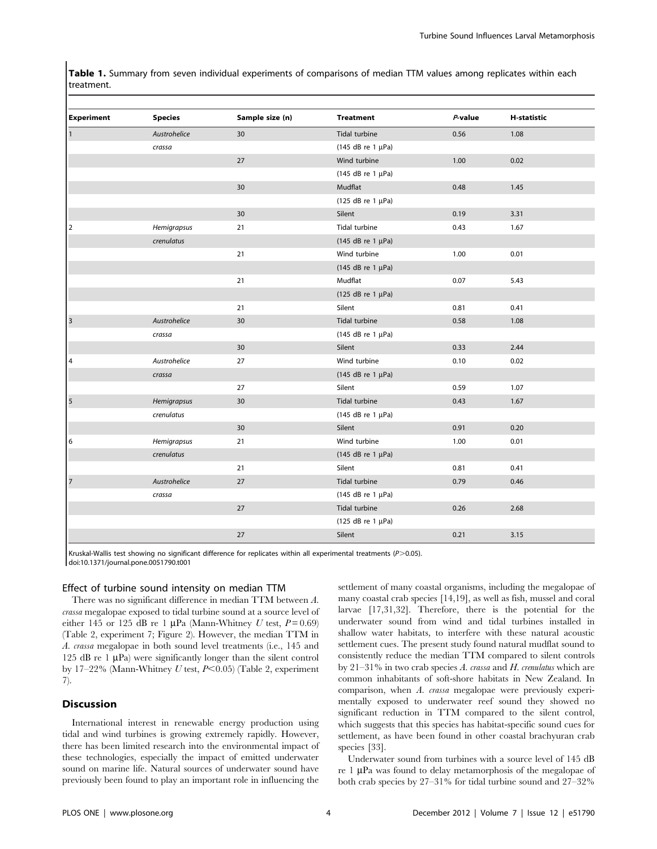Table 1. Summary from seven individual experiments of comparisons of median TTM values among replicates within each treatment.

| <b>Experiment</b>    | <b>Species</b> | Sample size (n) | <b>Treatment</b>  | P-value | <b>H-statistic</b> |  |
|----------------------|----------------|-----------------|-------------------|---------|--------------------|--|
| $\mathbf{1}$         | Austrohelice   | 30              | Tidal turbine     | 0.56    | 1.08               |  |
|                      | crassa         |                 | (145 dB re 1 µPa) |         |                    |  |
|                      |                | 27              | Wind turbine      | 1.00    | 0.02               |  |
|                      |                |                 | (145 dB re 1 µPa) |         |                    |  |
|                      |                | 30              | Mudflat           | 0.48    | 1.45               |  |
|                      |                |                 | (125 dB re 1 µPa) |         |                    |  |
|                      |                | 30              | Silent            | 0.19    | 3.31               |  |
| $\vert$ <sub>2</sub> | Hemigrapsus    | 21              | Tidal turbine     | 0.43    | 1.67               |  |
|                      | crenulatus     |                 | (145 dB re 1 µPa) |         |                    |  |
|                      |                | 21              | Wind turbine      | 1.00    | 0.01               |  |
|                      |                |                 | (145 dB re 1 µPa) |         |                    |  |
|                      |                | 21              | Mudflat           | 0.07    | 5.43               |  |
|                      |                |                 | (125 dB re 1 µPa) |         |                    |  |
|                      |                | 21              | Silent            | 0.81    | 0.41               |  |
| 3                    | Austrohelice   | 30              | Tidal turbine     | 0.58    | 1.08               |  |
|                      | crassa         |                 | (145 dB re 1 µPa) |         |                    |  |
|                      |                | 30              | Silent            | 0.33    | 2.44               |  |
| 4                    | Austrohelice   | 27              | Wind turbine      | 0.10    | 0.02               |  |
|                      | crassa         |                 | (145 dB re 1 µPa) |         |                    |  |
|                      |                | 27              | Silent            | 0.59    | 1.07               |  |
| $\vert$ 5            | Hemigrapsus    | 30              | Tidal turbine     | 0.43    | 1.67               |  |
|                      | crenulatus     |                 | (145 dB re 1 µPa) |         |                    |  |
|                      |                | 30              | Silent            | 0.91    | 0.20               |  |
| 6                    | Hemigrapsus    | 21              | Wind turbine      | 1.00    | 0.01               |  |
|                      | crenulatus     |                 | (145 dB re 1 µPa) |         |                    |  |
|                      |                | 21              | Silent            | 0.81    | 0.41               |  |
| $\vert$ 7            | Austrohelice   | 27              | Tidal turbine     | 0.79    | 0.46               |  |
|                      | crassa         |                 | (145 dB re 1 µPa) |         |                    |  |
|                      |                | 27              | Tidal turbine     | 0.26    | 2.68               |  |
|                      |                |                 | (125 dB re 1 µPa) |         |                    |  |
|                      |                | 27              | Silent            | 0.21    | 3.15               |  |
|                      |                |                 |                   |         |                    |  |

Kruskal-Wallis test showing no significant difference for replicates within all experimental treatments (P>0.05). doi:10.1371/journal.pone.0051790.t001

#### Effect of turbine sound intensity on median TTM

There was no significant difference in median TTM between A. crassa megalopae exposed to tidal turbine sound at a source level of either 145 or 125 dB re 1  $\mu$ Pa (Mann-Whitney U test, P = 0.69) (Table 2, experiment 7; Figure 2). However, the median TTM in A. crassa megalopae in both sound level treatments (i.e., 145 and 125 dB re 1  $\mu$ Pa) were significantly longer than the silent control by 17–22% (Mann-Whitney U test,  $P<0.05$ ) (Table 2, experiment 7).

# **Discussion**

International interest in renewable energy production using tidal and wind turbines is growing extremely rapidly. However, there has been limited research into the environmental impact of these technologies, especially the impact of emitted underwater sound on marine life. Natural sources of underwater sound have previously been found to play an important role in influencing the settlement of many coastal organisms, including the megalopae of many coastal crab species [14,19], as well as fish, mussel and coral larvae [17,31,32]. Therefore, there is the potential for the underwater sound from wind and tidal turbines installed in shallow water habitats, to interfere with these natural acoustic settlement cues. The present study found natural mudflat sound to consistently reduce the median TTM compared to silent controls by  $21-31\%$  in two crab species A. crassa and H. crenulatus which are common inhabitants of soft-shore habitats in New Zealand. In comparison, when A. crassa megalopae were previously experimentally exposed to underwater reef sound they showed no significant reduction in TTM compared to the silent control, which suggests that this species has habitat-specific sound cues for settlement, as have been found in other coastal brachyuran crab species [33].

Underwater sound from turbines with a source level of 145 dB re  $1 \mu Pa$  was found to delay metamorphosis of the megalopae of both crab species by 27–31% for tidal turbine sound and 27–32%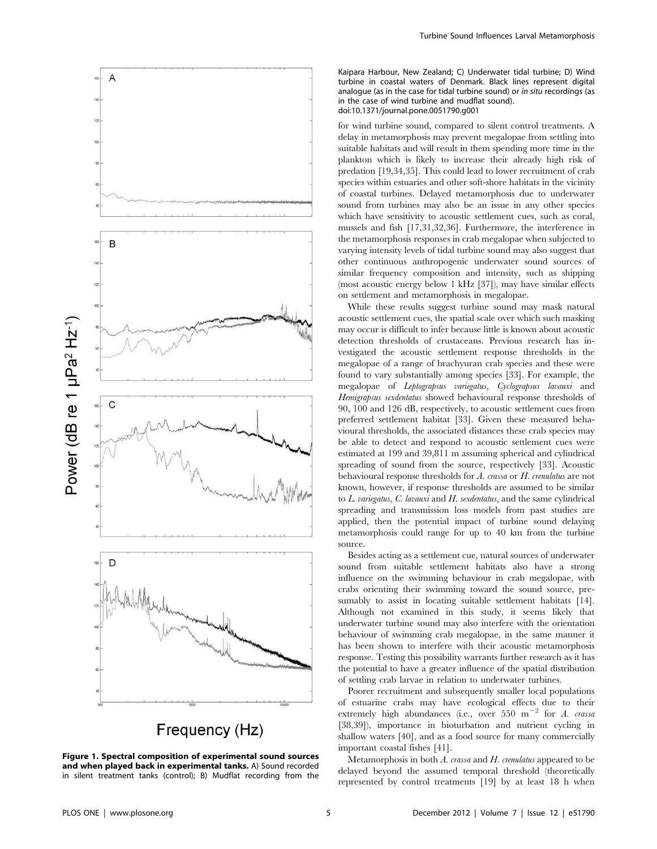

Frequency (Hz)

Figure 1. Spectral composition of experimental sound sources and when played back in experimental tanks. A) Sound recorded in silent treatment tanks (control); B) Mudflat recording from the

Kaipara Harbour, New Zealand; C) Underwater tidal turbine; D) Wind turbine in coastal waters of Denmark. Black lines represent digital analogue (as in the case for tidal turbine sound) or in situ recordings (as in the case of wind turbine and mudflat sound). doi:10.1371/journal.pone.0051790.g001

for wind turbine sound, compared to silent control treatments. A delay in metamorphosis may prevent megalopae from settling into suitable habitats and will result in them spending more time in the plankton which is likely to increase their already high risk of predation [19,34,35]. This could lead to lower recruitment of crab species within estuaries and other soft-shore habitats in the vicinity of coastal turbines. Delayed metamorphosis due to underwater sound from turbines may also be an issue in any other species which have sensitivity to acoustic settlement cues, such as coral, mussels and fish [17,31,32,36]. Furthermore, the interference in the metamorphosis responses in crab megalopae when subjected to varying intensity levels of tidal turbine sound may also suggest that other continuous anthropogenic underwater sound sources of similar frequency composition and intensity, such as shipping (most acoustic energy below 1 kHz [37]), may have similar effects on settlement and metamorphosis in megalopae.

While these results suggest turbine sound may mask natural acoustic settlement cues, the spatial scale over which such masking may occur is difficult to infer because little is known about acoustic detection thresholds of crustaceans. Previous research has investigated the acoustic settlement response thresholds in the megalopae of a range of brachyuran crab species and these were found to vary substantially among species [33]. For example, the megalopae of Leptograpsus variegatus, Cyclograpsus lavauxi and Hemigrapsus sexdentatus showed behavioural response thresholds of 90, 100 and 126 dB, respectively, to acoustic settlement cues from preferred settlement habitat [33]. Given these measured behavioural thresholds, the associated distances these crab species may be able to detect and respond to acoustic settlement cues were estimated at 199 and 39,811 m assuming spherical and cylindrical spreading of sound from the source, respectively [33]. Acoustic behavioural response thresholds for A. crassa or H. crenulatus are not known, however, if response thresholds are assumed to be similar to  $L$ . variegatus,  $C$ . lavauxi and  $H$ . sexdentatus, and the same cylindrical spreading and transmission loss models from past studies are applied, then the potential impact of turbine sound delaying metamorphosis could range for up to 40 km from the turbine source.

Besides acting as a settlement cue, natural sources of underwater sound from suitable settlement habitats also have a strong influence on the swimming behaviour in crab megalopae, with crabs orienting their swimming toward the sound source, presumably to assist in locating suitable settlement habitats [14]. Although not examined in this study, it seems likely that underwater turbine sound may also interfere with the orientation behaviour of swimming crab megalopae, in the same manner it has been shown to interfere with their acoustic metamorphosis response. Testing this possibility warrants further research as it has the potential to have a greater influence of the spatial distribution of settling crab larvae in relation to underwater turbines.

Poorer recruitment and subsequently smaller local populations of estuarine crabs may have ecological effects due to their extremely high abundances (i.e., over 550  $m^{-2}$  for A. crassa [38,39]), importance in bioturbation and nutrient cycling in shallow waters [40], and as a food source for many commercially important coastal fishes [41].

Metamorphosis in both  $A$ , crassa and  $H$ , crenulatus appeared to be delayed beyond the assumed temporal threshold (theoretically represented by control treatments [19] by at least 18 h when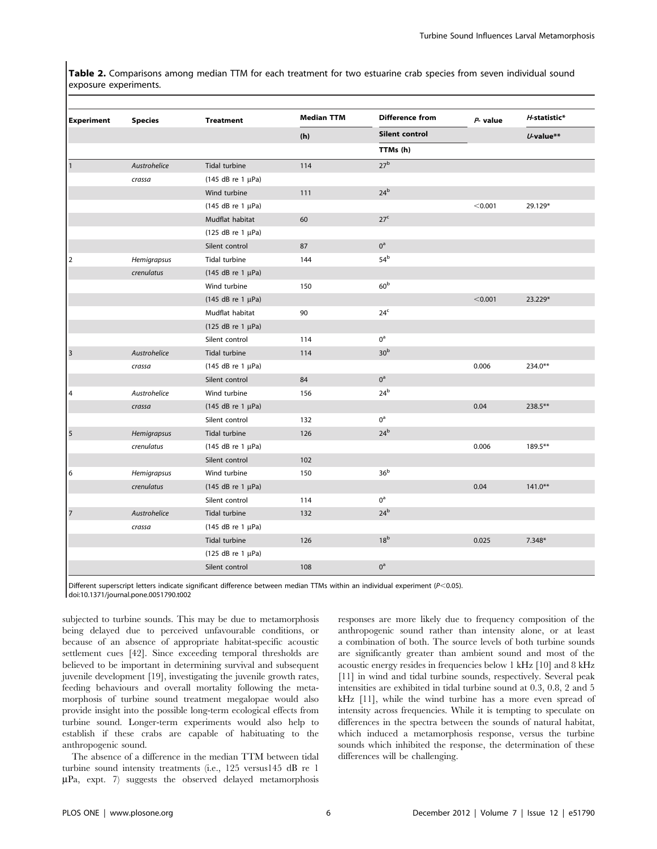Table 2. Comparisons among median TTM for each treatment for two estuarine crab species from seven individual sound exposure experiments.

| <b>Experiment</b>       | <b>Species</b> | <b>Treatment</b>         | <b>Median TTM</b> | <b>Difference from</b> | $P-$ value | H-statistic* |
|-------------------------|----------------|--------------------------|-------------------|------------------------|------------|--------------|
|                         |                |                          | (h)               | Silent control         |            | $U$ -value** |
|                         |                |                          |                   | TTMs (h)               |            |              |
| $\mathbf{1}$            | Austrohelice   | Tidal turbine            | 114               | 27 <sup>b</sup>        |            |              |
|                         | crassa         | (145 dB re 1 µPa)        |                   |                        |            |              |
|                         |                | Wind turbine             | 111               | 24 <sup>b</sup>        |            |              |
|                         |                | (145 dB re 1 µPa)        |                   |                        | < 0.001    | 29.129*      |
|                         |                | Mudflat habitat          | 60                | 27 <sup>c</sup>        |            |              |
|                         |                | (125 dB re 1 µPa)        |                   |                        |            |              |
|                         |                | Silent control           | 87                | $0^a$                  |            |              |
| $\overline{2}$          | Hemigrapsus    | Tidal turbine            | 144               | 54 <sup>b</sup>        |            |              |
|                         | crenulatus     | $(145$ dB re 1 $\mu$ Pa) |                   |                        |            |              |
|                         |                | Wind turbine             | 150               | 60 <sup>b</sup>        |            |              |
|                         |                | (145 dB re 1 µPa)        |                   |                        | < 0.001    | 23.229*      |
|                         |                | Mudflat habitat          | 90                | 24 <sup>c</sup>        |            |              |
|                         |                | (125 dB re 1 µPa)        |                   |                        |            |              |
|                         |                | Silent control           | 114               | $0^a$                  |            |              |
| $\overline{\mathbf{3}}$ | Austrohelice   | Tidal turbine            | 114               | 30 <sup>b</sup>        |            |              |
|                         | crassa         | (145 dB re 1 µPa)        |                   |                        | 0.006      | 234.0**      |
|                         |                | Silent control           | 84                | $0^{\rm a}$            |            |              |
| 4                       | Austrohelice   | Wind turbine             | 156               | $24^b$                 |            |              |
|                         | crassa         | (145 dB re 1 µPa)        |                   |                        | 0.04       | 238.5**      |
|                         |                | Silent control           | 132               | $0^{\text{a}}$         |            |              |
| 5                       | Hemigrapsus    | Tidal turbine            | 126               | 24 <sup>b</sup>        |            |              |
|                         | crenulatus     | $(145$ dB re 1 $\mu$ Pa) |                   |                        | 0.006      | 189.5**      |
|                         |                | Silent control           | 102               |                        |            |              |
| 6                       | Hemigrapsus    | Wind turbine             | 150               | 36 <sup>b</sup>        |            |              |
|                         | crenulatus     | (145 dB re 1 µPa)        |                   |                        | 0.04       | $141.0***$   |
|                         |                | Silent control           | 114               | $0^a$                  |            |              |
| $\overline{7}$          | Austrohelice   | Tidal turbine            | 132               | 24 <sup>b</sup>        |            |              |
|                         | crassa         | $(145$ dB re 1 $\mu$ Pa) |                   |                        |            |              |
|                         |                | Tidal turbine            | 126               | 18 <sup>b</sup>        | 0.025      | $7.348*$     |
|                         |                | (125 dB re 1 µPa)        |                   |                        |            |              |
|                         |                | Silent control           | 108               | $0^a$                  |            |              |

Different superscript letters indicate significant difference between median TTMs within an individual experiment ( $P<0.05$ ). doi:10.1371/journal.pone.0051790.t002

subjected to turbine sounds. This may be due to metamorphosis being delayed due to perceived unfavourable conditions, or because of an absence of appropriate habitat-specific acoustic settlement cues [42]. Since exceeding temporal thresholds are believed to be important in determining survival and subsequent juvenile development [19], investigating the juvenile growth rates, feeding behaviours and overall mortality following the metamorphosis of turbine sound treatment megalopae would also provide insight into the possible long-term ecological effects from turbine sound. Longer-term experiments would also help to establish if these crabs are capable of habituating to the anthropogenic sound.

The absence of a difference in the median TTM between tidal turbine sound intensity treatments (i.e., 125 versus145 dB re 1  $\mu$ Pa, expt. 7) suggests the observed delayed metamorphosis

responses are more likely due to frequency composition of the anthropogenic sound rather than intensity alone, or at least a combination of both. The source levels of both turbine sounds are significantly greater than ambient sound and most of the acoustic energy resides in frequencies below 1 kHz [10] and 8 kHz [11] in wind and tidal turbine sounds, respectively. Several peak intensities are exhibited in tidal turbine sound at 0.3, 0.8, 2 and 5 kHz [11], while the wind turbine has a more even spread of intensity across frequencies. While it is tempting to speculate on differences in the spectra between the sounds of natural habitat, which induced a metamorphosis response, versus the turbine sounds which inhibited the response, the determination of these differences will be challenging.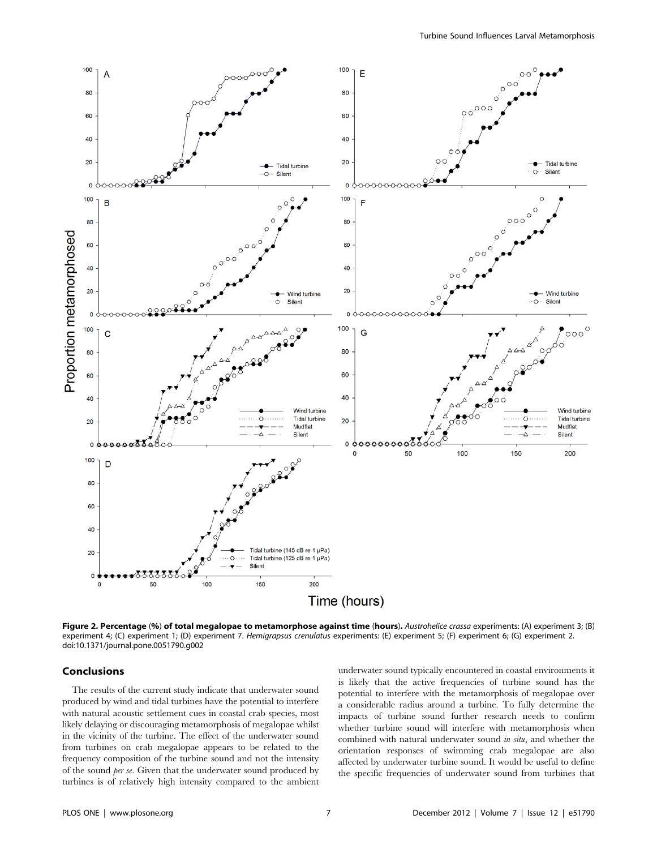

Figure 2. Percentage (%) of total megalopae to metamorphose against time (hours). Austrohelice crassa experiments: (A) experiment 3; (B) experiment 4; (C) experiment 1; (D) experiment 7. Hemigrapsus crenulatus experiments: (E) experiment 5; (F) experiment 6; (G) experiment 2. doi:10.1371/journal.pone.0051790.g002

## Conclusions

The results of the current study indicate that underwater sound produced by wind and tidal turbines have the potential to interfere with natural acoustic settlement cues in coastal crab species, most likely delaying or discouraging metamorphosis of megalopae whilst in the vicinity of the turbine. The effect of the underwater sound from turbines on crab megalopae appears to be related to the frequency composition of the turbine sound and not the intensity of the sound per se. Given that the underwater sound produced by turbines is of relatively high intensity compared to the ambient underwater sound typically encountered in coastal environments it is likely that the active frequencies of turbine sound has the potential to interfere with the metamorphosis of megalopae over a considerable radius around a turbine. To fully determine the impacts of turbine sound further research needs to confirm whether turbine sound will interfere with metamorphosis when combined with natural underwater sound in situ, and whether the orientation responses of swimming crab megalopae are also affected by underwater turbine sound. It would be useful to define the specific frequencies of underwater sound from turbines that